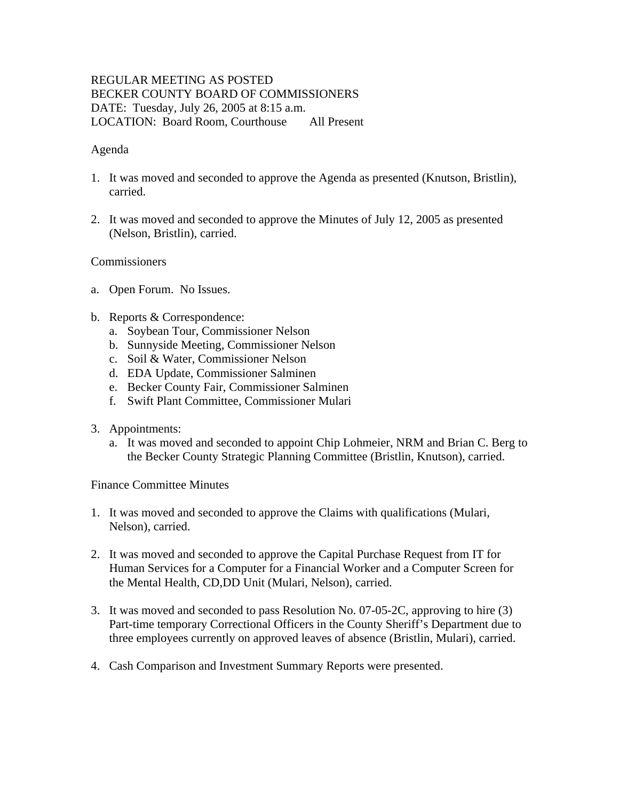# REGULAR MEETING AS POSTED BECKER COUNTY BOARD OF COMMISSIONERS DATE: Tuesday, July 26, 2005 at 8:15 a.m. LOCATION: Board Room, Courthouse All Present

### Agenda

- 1. It was moved and seconded to approve the Agenda as presented (Knutson, Bristlin), carried.
- 2. It was moved and seconded to approve the Minutes of July 12, 2005 as presented (Nelson, Bristlin), carried.

### Commissioners

- a. Open Forum. No Issues.
- b. Reports & Correspondence:
	- a. Soybean Tour, Commissioner Nelson
	- b. Sunnyside Meeting, Commissioner Nelson
	- c. Soil & Water, Commissioner Nelson
	- d. EDA Update, Commissioner Salminen
	- e. Becker County Fair, Commissioner Salminen
	- f. Swift Plant Committee, Commissioner Mulari
- 3. Appointments:
	- a. It was moved and seconded to appoint Chip Lohmeier, NRM and Brian C. Berg to the Becker County Strategic Planning Committee (Bristlin, Knutson), carried.

Finance Committee Minutes

- 1. It was moved and seconded to approve the Claims with qualifications (Mulari, Nelson), carried.
- 2. It was moved and seconded to approve the Capital Purchase Request from IT for Human Services for a Computer for a Financial Worker and a Computer Screen for the Mental Health, CD,DD Unit (Mulari, Nelson), carried.
- 3. It was moved and seconded to pass Resolution No. 07-05-2C, approving to hire (3) Part-time temporary Correctional Officers in the County Sheriff's Department due to three employees currently on approved leaves of absence (Bristlin, Mulari), carried.
- 4. Cash Comparison and Investment Summary Reports were presented.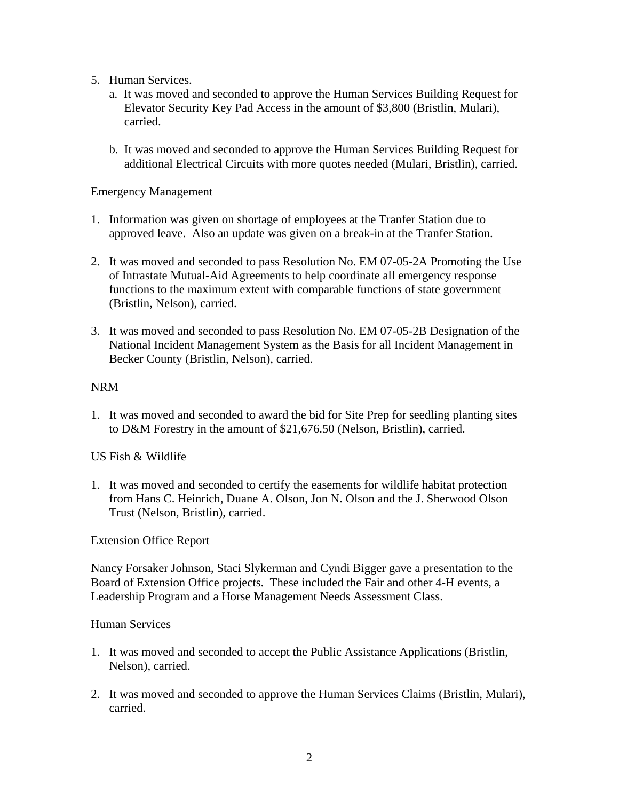- 5. Human Services.
	- a. It was moved and seconded to approve the Human Services Building Request for Elevator Security Key Pad Access in the amount of \$3,800 (Bristlin, Mulari), carried.
	- b. It was moved and seconded to approve the Human Services Building Request for additional Electrical Circuits with more quotes needed (Mulari, Bristlin), carried.

#### Emergency Management

- 1. Information was given on shortage of employees at the Tranfer Station due to approved leave. Also an update was given on a break-in at the Tranfer Station.
- 2. It was moved and seconded to pass Resolution No. EM 07-05-2A Promoting the Use of Intrastate Mutual-Aid Agreements to help coordinate all emergency response functions to the maximum extent with comparable functions of state government (Bristlin, Nelson), carried.
- 3. It was moved and seconded to pass Resolution No. EM 07-05-2B Designation of the National Incident Management System as the Basis for all Incident Management in Becker County (Bristlin, Nelson), carried.

#### NRM

1. It was moved and seconded to award the bid for Site Prep for seedling planting sites to D&M Forestry in the amount of \$21,676.50 (Nelson, Bristlin), carried.

US Fish & Wildlife

1. It was moved and seconded to certify the easements for wildlife habitat protection from Hans C. Heinrich, Duane A. Olson, Jon N. Olson and the J. Sherwood Olson Trust (Nelson, Bristlin), carried.

Extension Office Report

Nancy Forsaker Johnson, Staci Slykerman and Cyndi Bigger gave a presentation to the Board of Extension Office projects. These included the Fair and other 4-H events, a Leadership Program and a Horse Management Needs Assessment Class.

#### Human Services

- 1. It was moved and seconded to accept the Public Assistance Applications (Bristlin, Nelson), carried.
- 2. It was moved and seconded to approve the Human Services Claims (Bristlin, Mulari), carried.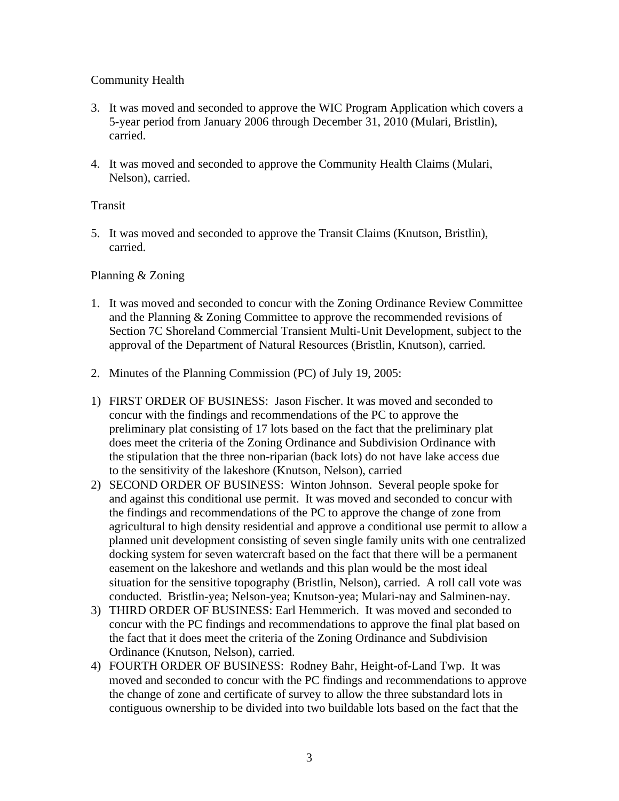# Community Health

- 3. It was moved and seconded to approve the WIC Program Application which covers a 5-year period from January 2006 through December 31, 2010 (Mulari, Bristlin), carried.
- 4. It was moved and seconded to approve the Community Health Claims (Mulari, Nelson), carried.

### Transit

5. It was moved and seconded to approve the Transit Claims (Knutson, Bristlin), carried.

## Planning & Zoning

- 1. It was moved and seconded to concur with the Zoning Ordinance Review Committee and the Planning & Zoning Committee to approve the recommended revisions of Section 7C Shoreland Commercial Transient Multi-Unit Development, subject to the approval of the Department of Natural Resources (Bristlin, Knutson), carried.
- 2. Minutes of the Planning Commission (PC) of July 19, 2005:
- 1) FIRST ORDER OF BUSINESS: Jason Fischer. It was moved and seconded to concur with the findings and recommendations of the PC to approve the preliminary plat consisting of 17 lots based on the fact that the preliminary plat does meet the criteria of the Zoning Ordinance and Subdivision Ordinance with the stipulation that the three non-riparian (back lots) do not have lake access due to the sensitivity of the lakeshore (Knutson, Nelson), carried
- 2) SECOND ORDER OF BUSINESS: Winton Johnson. Several people spoke for and against this conditional use permit. It was moved and seconded to concur with the findings and recommendations of the PC to approve the change of zone from agricultural to high density residential and approve a conditional use permit to allow a planned unit development consisting of seven single family units with one centralized docking system for seven watercraft based on the fact that there will be a permanent easement on the lakeshore and wetlands and this plan would be the most ideal situation for the sensitive topography (Bristlin, Nelson), carried. A roll call vote was conducted. Bristlin-yea; Nelson-yea; Knutson-yea; Mulari-nay and Salminen-nay.
- 3) THIRD ORDER OF BUSINESS: Earl Hemmerich. It was moved and seconded to concur with the PC findings and recommendations to approve the final plat based on the fact that it does meet the criteria of the Zoning Ordinance and Subdivision Ordinance (Knutson, Nelson), carried.
- 4) FOURTH ORDER OF BUSINESS: Rodney Bahr, Height-of-Land Twp. It was moved and seconded to concur with the PC findings and recommendations to approve the change of zone and certificate of survey to allow the three substandard lots in contiguous ownership to be divided into two buildable lots based on the fact that the